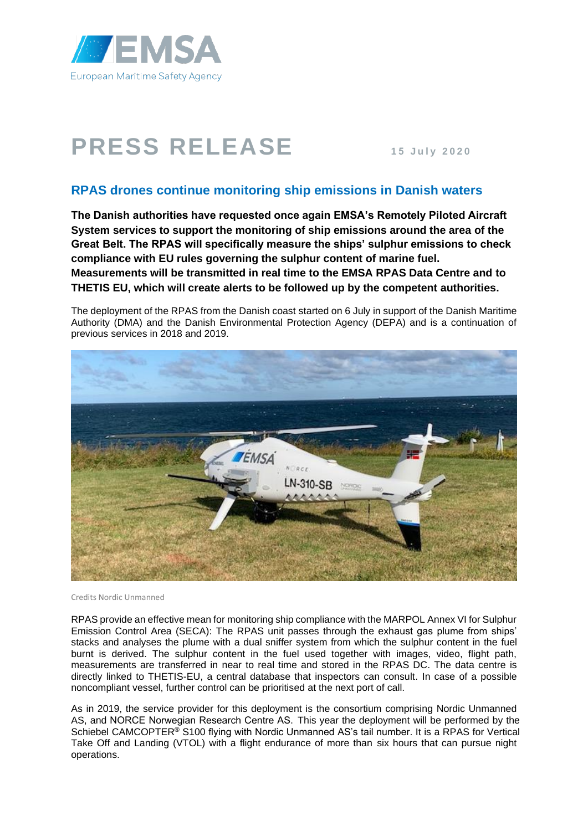

## **PRESS RELEASE <sup>1</sup> <sup>5</sup> <sup>J</sup> <sup>u</sup> <sup>l</sup> y 2020**

## **RPAS drones continue monitoring ship emissions in Danish waters**

**The Danish authorities have requested once again EMSA's Remotely Piloted Aircraft System services to support the monitoring of ship emissions around the area of the Great Belt. The RPAS will specifically measure the ships' sulphur emissions to check compliance with EU rules governing the sulphur content of marine fuel. Measurements will be transmitted in real time to the EMSA RPAS Data Centre and to THETIS EU, which will create alerts to be followed up by the competent authorities.**

The deployment of the RPAS from the Danish coast started on 6 July in support of the Danish Maritime Authority (DMA) and the Danish Environmental Protection Agency (DEPA) and is a continuation of previous services in 2018 and 2019.



Credits Nordic Unmanned

RPAS provide an effective mean for monitoring ship compliance with the MARPOL Annex VI for Sulphur Emission Control Area (SECA): The RPAS unit passes through the exhaust gas plume from ships' stacks and analyses the plume with a dual sniffer system from which the sulphur content in the fuel burnt is derived. The sulphur content in the fuel used together with images, video, flight path, measurements are transferred in near to real time and stored in the RPAS DC. The data centre is directly linked to THETIS-EU, a central database that inspectors can consult. In case of a possible noncompliant vessel, further control can be prioritised at the next port of call.

As in 2019, the service provider for this deployment is the consortium comprising Nordic Unmanned AS, and NORCE Norwegian Research Centre AS. This year the deployment will be performed by the Schiebel CAMCOPTER<sup>®</sup> S100 flying with Nordic Unmanned AS's tail number. It is a RPAS for Vertical Take Off and Landing (VTOL) with a flight endurance of more than six hours that can pursue night operations.